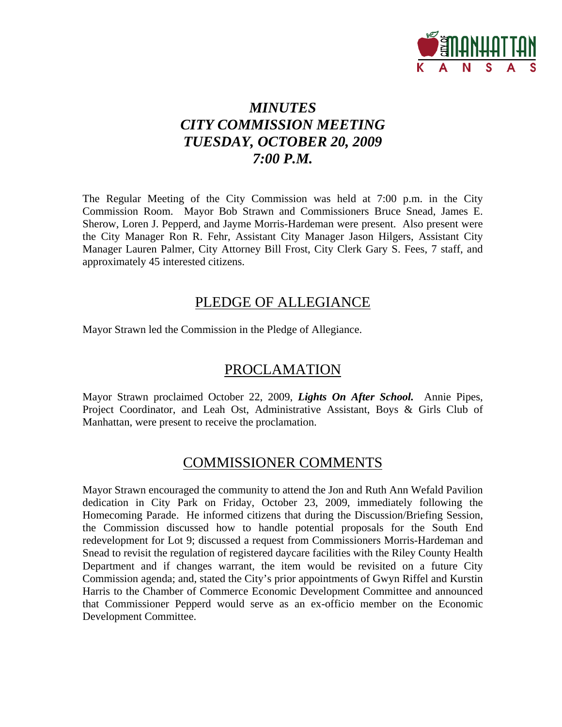

# *MINUTES CITY COMMISSION MEETING TUESDAY, OCTOBER 20, 2009 7:00 P.M.*

The Regular Meeting of the City Commission was held at 7:00 p.m. in the City Commission Room. Mayor Bob Strawn and Commissioners Bruce Snead, James E. Sherow, Loren J. Pepperd, and Jayme Morris-Hardeman were present. Also present were the City Manager Ron R. Fehr, Assistant City Manager Jason Hilgers, Assistant City Manager Lauren Palmer, City Attorney Bill Frost, City Clerk Gary S. Fees, 7 staff, and approximately 45 interested citizens.

# PLEDGE OF ALLEGIANCE

Mayor Strawn led the Commission in the Pledge of Allegiance.

# PROCLAMATION

Mayor Strawn proclaimed October 22, 2009, *Lights On After School.* Annie Pipes, Project Coordinator, and Leah Ost, Administrative Assistant, Boys & Girls Club of Manhattan, were present to receive the proclamation.

# COMMISSIONER COMMENTS

Mayor Strawn encouraged the community to attend the Jon and Ruth Ann Wefald Pavilion dedication in City Park on Friday, October 23, 2009, immediately following the Homecoming Parade. He informed citizens that during the Discussion/Briefing Session, the Commission discussed how to handle potential proposals for the South End redevelopment for Lot 9; discussed a request from Commissioners Morris-Hardeman and Snead to revisit the regulation of registered daycare facilities with the Riley County Health Department and if changes warrant, the item would be revisited on a future City Commission agenda; and, stated the City's prior appointments of Gwyn Riffel and Kurstin Harris to the Chamber of Commerce Economic Development Committee and announced that Commissioner Pepperd would serve as an ex-officio member on the Economic Development Committee.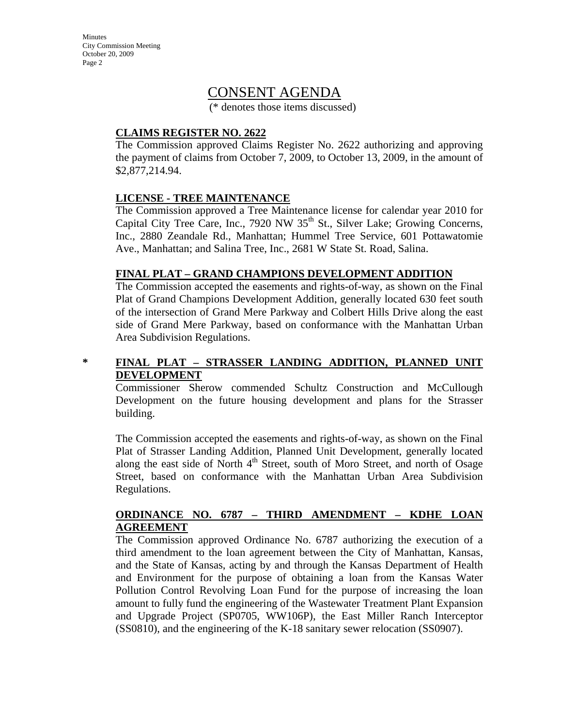Minutes City Commission Meeting October 20, 2009 Page 2

## CONSENT AGENDA

(\* denotes those items discussed)

### **CLAIMS REGISTER NO. 2622**

The Commission approved Claims Register No. 2622 authorizing and approving the payment of claims from October 7, 2009, to October 13, 2009, in the amount of \$2,877,214.94.

### **LICENSE - TREE MAINTENANCE**

The Commission approved a Tree Maintenance license for calendar year 2010 for Capital City Tree Care, Inc., 7920 NW  $35<sup>th</sup>$  St., Silver Lake; Growing Concerns, Inc., 2880 Zeandale Rd., Manhattan; Hummel Tree Service, 601 Pottawatomie Ave., Manhattan; and Salina Tree, Inc., 2681 W State St. Road, Salina.

#### **FINAL PLAT – GRAND CHAMPIONS DEVELOPMENT ADDITION**

The Commission accepted the easements and rights-of-way, as shown on the Final Plat of Grand Champions Development Addition, generally located 630 feet south of the intersection of Grand Mere Parkway and Colbert Hills Drive along the east side of Grand Mere Parkway, based on conformance with the Manhattan Urban Area Subdivision Regulations.

### **\* FINAL PLAT – STRASSER LANDING ADDITION, PLANNED UNIT DEVELOPMENT**

Commissioner Sherow commended Schultz Construction and McCullough Development on the future housing development and plans for the Strasser building.

The Commission accepted the easements and rights-of-way, as shown on the Final Plat of Strasser Landing Addition, Planned Unit Development, generally located along the east side of North  $4<sup>th</sup>$  Street, south of Moro Street, and north of Osage Street, based on conformance with the Manhattan Urban Area Subdivision Regulations.

#### **ORDINANCE NO. 6787 – THIRD AMENDMENT – KDHE LOAN AGREEMENT**

The Commission approved Ordinance No. 6787 authorizing the execution of a third amendment to the loan agreement between the City of Manhattan, Kansas, and the State of Kansas, acting by and through the Kansas Department of Health and Environment for the purpose of obtaining a loan from the Kansas Water Pollution Control Revolving Loan Fund for the purpose of increasing the loan amount to fully fund the engineering of the Wastewater Treatment Plant Expansion and Upgrade Project (SP0705, WW106P), the East Miller Ranch Interceptor (SS0810), and the engineering of the K-18 sanitary sewer relocation (SS0907).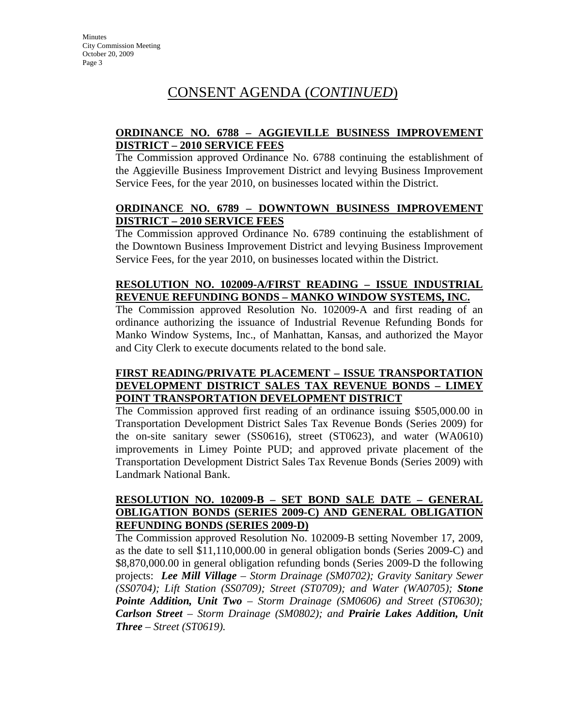# CONSENT AGENDA (*CONTINUED*)

### **ORDINANCE NO. 6788 – AGGIEVILLE BUSINESS IMPROVEMENT DISTRICT – 2010 SERVICE FEES**

The Commission approved Ordinance No. 6788 continuing the establishment of the Aggieville Business Improvement District and levying Business Improvement Service Fees, for the year 2010, on businesses located within the District.

### **ORDINANCE NO. 6789 – DOWNTOWN BUSINESS IMPROVEMENT DISTRICT – 2010 SERVICE FEES**

The Commission approved Ordinance No. 6789 continuing the establishment of the Downtown Business Improvement District and levying Business Improvement Service Fees, for the year 2010, on businesses located within the District.

### **RESOLUTION NO. 102009-A/FIRST READING – ISSUE INDUSTRIAL REVENUE REFUNDING BONDS – MANKO WINDOW SYSTEMS, INC.**

The Commission approved Resolution No. 102009-A and first reading of an ordinance authorizing the issuance of Industrial Revenue Refunding Bonds for Manko Window Systems, Inc., of Manhattan, Kansas, and authorized the Mayor and City Clerk to execute documents related to the bond sale.

### **FIRST READING/PRIVATE PLACEMENT – ISSUE TRANSPORTATION DEVELOPMENT DISTRICT SALES TAX REVENUE BONDS – LIMEY POINT TRANSPORTATION DEVELOPMENT DISTRICT**

The Commission approved first reading of an ordinance issuing \$505,000.00 in Transportation Development District Sales Tax Revenue Bonds (Series 2009) for the on-site sanitary sewer (SS0616), street (ST0623), and water (WA0610) improvements in Limey Pointe PUD; and approved private placement of the Transportation Development District Sales Tax Revenue Bonds (Series 2009) with Landmark National Bank.

### **RESOLUTION NO. 102009-B – SET BOND SALE DATE – GENERAL OBLIGATION BONDS (SERIES 2009-C) AND GENERAL OBLIGATION REFUNDING BONDS (SERIES 2009-D)**

The Commission approved Resolution No. 102009-B setting November 17, 2009, as the date to sell \$11,110,000.00 in general obligation bonds (Series 2009-C) and \$8,870,000.00 in general obligation refunding bonds (Series 2009-D the following projects: *Lee Mill Village – Storm Drainage (SM0702); Gravity Sanitary Sewer (SS0704); Lift Station (SS0709); Street (ST0709); and Water (WA0705); Stone Pointe Addition, Unit Two – Storm Drainage (SM0606) and Street (ST0630); Carlson Street – Storm Drainage (SM0802); and Prairie Lakes Addition, Unit Three – Street (ST0619).*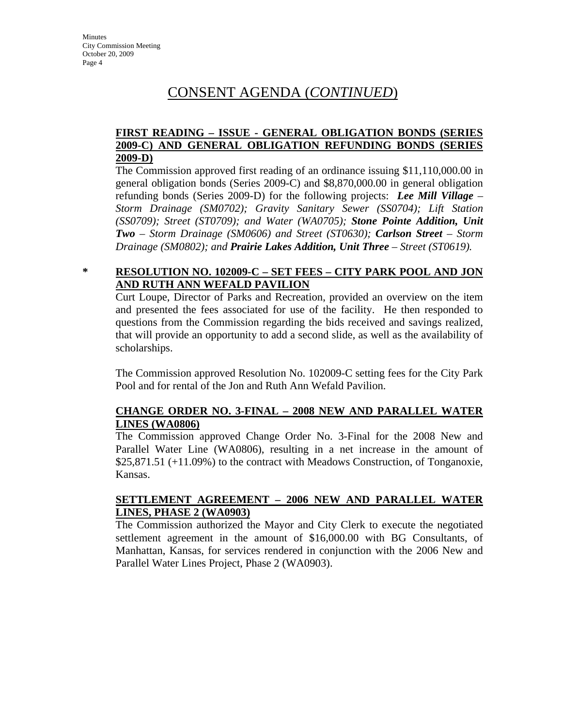# CONSENT AGENDA (*CONTINUED*)

### **FIRST READING – ISSUE - GENERAL OBLIGATION BONDS (SERIES 2009-C) AND GENERAL OBLIGATION REFUNDING BONDS (SERIES 2009-D)**

The Commission approved first reading of an ordinance issuing \$11,110,000.00 in general obligation bonds (Series 2009-C) and \$8,870,000.00 in general obligation refunding bonds (Series 2009-D) for the following projects: *Lee Mill Village – Storm Drainage (SM0702); Gravity Sanitary Sewer (SS0704); Lift Station (SS0709); Street (ST0709); and Water (WA0705); Stone Pointe Addition, Unit Two – Storm Drainage (SM0606) and Street (ST0630); Carlson Street – Storm Drainage (SM0802); and Prairie Lakes Addition, Unit Three – Street (ST0619).* 

### **\* RESOLUTION NO. 102009-C – SET FEES – CITY PARK POOL AND JON AND RUTH ANN WEFALD PAVILION**

Curt Loupe, Director of Parks and Recreation, provided an overview on the item and presented the fees associated for use of the facility. He then responded to questions from the Commission regarding the bids received and savings realized, that will provide an opportunity to add a second slide, as well as the availability of scholarships.

The Commission approved Resolution No. 102009-C setting fees for the City Park Pool and for rental of the Jon and Ruth Ann Wefald Pavilion.

### **CHANGE ORDER NO. 3-FINAL – 2008 NEW AND PARALLEL WATER LINES (WA0806)**

The Commission approved Change Order No. 3-Final for the 2008 New and Parallel Water Line (WA0806), resulting in a net increase in the amount of \$25,871.51 (+11.09%) to the contract with Meadows Construction, of Tonganoxie, Kansas.

#### **SETTLEMENT AGREEMENT – 2006 NEW AND PARALLEL WATER LINES, PHASE 2 (WA0903)**

The Commission authorized the Mayor and City Clerk to execute the negotiated settlement agreement in the amount of \$16,000.00 with BG Consultants, of Manhattan, Kansas, for services rendered in conjunction with the 2006 New and Parallel Water Lines Project, Phase 2 (WA0903).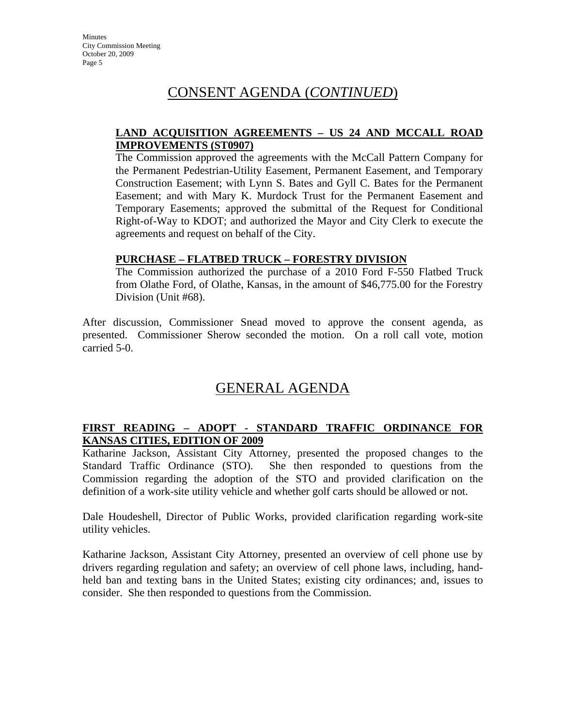# CONSENT AGENDA (*CONTINUED*)

#### **LAND ACQUISITION AGREEMENTS – US 24 AND MCCALL ROAD IMPROVEMENTS (ST0907)**

The Commission approved the agreements with the McCall Pattern Company for the Permanent Pedestrian-Utility Easement, Permanent Easement, and Temporary Construction Easement; with Lynn S. Bates and Gyll C. Bates for the Permanent Easement; and with Mary K. Murdock Trust for the Permanent Easement and Temporary Easements; approved the submittal of the Request for Conditional Right-of-Way to KDOT; and authorized the Mayor and City Clerk to execute the agreements and request on behalf of the City.

#### **PURCHASE – FLATBED TRUCK – FORESTRY DIVISION**

The Commission authorized the purchase of a 2010 Ford F-550 Flatbed Truck from Olathe Ford, of Olathe, Kansas, in the amount of \$46,775.00 for the Forestry Division (Unit #68).

After discussion, Commissioner Snead moved to approve the consent agenda, as presented. Commissioner Sherow seconded the motion. On a roll call vote, motion carried 5-0.

# GENERAL AGENDA

### **FIRST READING – ADOPT - STANDARD TRAFFIC ORDINANCE FOR KANSAS CITIES, EDITION OF 2009**

Katharine Jackson, Assistant City Attorney, presented the proposed changes to the Standard Traffic Ordinance (STO). She then responded to questions from the Commission regarding the adoption of the STO and provided clarification on the definition of a work-site utility vehicle and whether golf carts should be allowed or not.

Dale Houdeshell, Director of Public Works, provided clarification regarding work-site utility vehicles.

Katharine Jackson, Assistant City Attorney, presented an overview of cell phone use by drivers regarding regulation and safety; an overview of cell phone laws, including, handheld ban and texting bans in the United States; existing city ordinances; and, issues to consider. She then responded to questions from the Commission.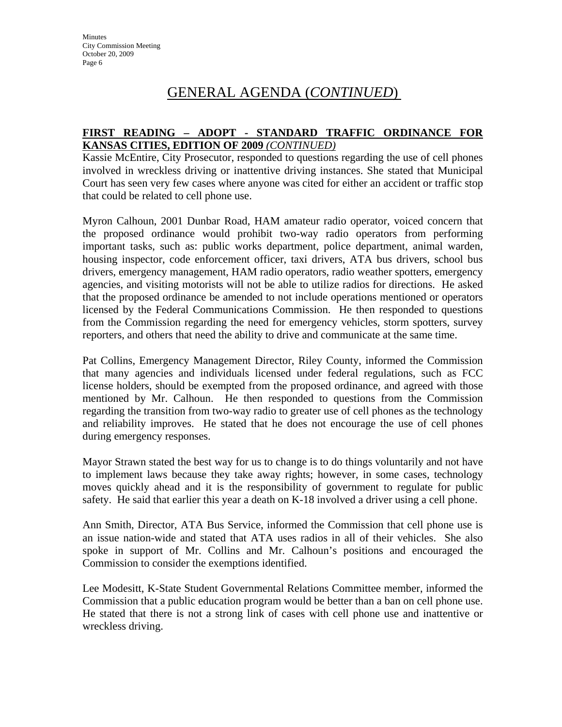### **FIRST READING – ADOPT - STANDARD TRAFFIC ORDINANCE FOR KANSAS CITIES, EDITION OF 2009** *(CONTINUED)*

Kassie McEntire, City Prosecutor, responded to questions regarding the use of cell phones involved in wreckless driving or inattentive driving instances. She stated that Municipal Court has seen very few cases where anyone was cited for either an accident or traffic stop that could be related to cell phone use.

Myron Calhoun, 2001 Dunbar Road, HAM amateur radio operator, voiced concern that the proposed ordinance would prohibit two-way radio operators from performing important tasks, such as: public works department, police department, animal warden, housing inspector, code enforcement officer, taxi drivers, ATA bus drivers, school bus drivers, emergency management, HAM radio operators, radio weather spotters, emergency agencies, and visiting motorists will not be able to utilize radios for directions. He asked that the proposed ordinance be amended to not include operations mentioned or operators licensed by the Federal Communications Commission. He then responded to questions from the Commission regarding the need for emergency vehicles, storm spotters, survey reporters, and others that need the ability to drive and communicate at the same time.

Pat Collins, Emergency Management Director, Riley County, informed the Commission that many agencies and individuals licensed under federal regulations, such as FCC license holders, should be exempted from the proposed ordinance, and agreed with those mentioned by Mr. Calhoun. He then responded to questions from the Commission regarding the transition from two-way radio to greater use of cell phones as the technology and reliability improves. He stated that he does not encourage the use of cell phones during emergency responses.

Mayor Strawn stated the best way for us to change is to do things voluntarily and not have to implement laws because they take away rights; however, in some cases, technology moves quickly ahead and it is the responsibility of government to regulate for public safety. He said that earlier this year a death on K-18 involved a driver using a cell phone.

Ann Smith, Director, ATA Bus Service, informed the Commission that cell phone use is an issue nation-wide and stated that ATA uses radios in all of their vehicles. She also spoke in support of Mr. Collins and Mr. Calhoun's positions and encouraged the Commission to consider the exemptions identified.

Lee Modesitt, K-State Student Governmental Relations Committee member, informed the Commission that a public education program would be better than a ban on cell phone use. He stated that there is not a strong link of cases with cell phone use and inattentive or wreckless driving.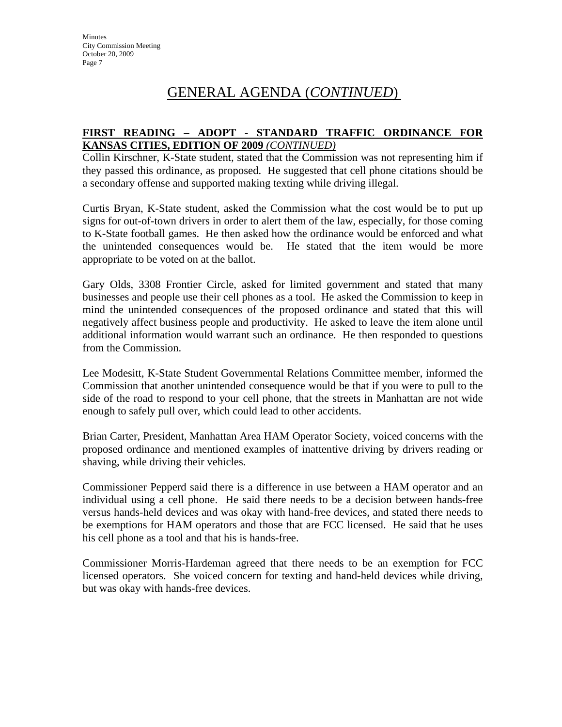### **FIRST READING – ADOPT - STANDARD TRAFFIC ORDINANCE FOR KANSAS CITIES, EDITION OF 2009** *(CONTINUED)*

Collin Kirschner, K-State student, stated that the Commission was not representing him if they passed this ordinance, as proposed. He suggested that cell phone citations should be a secondary offense and supported making texting while driving illegal.

Curtis Bryan, K-State student, asked the Commission what the cost would be to put up signs for out-of-town drivers in order to alert them of the law, especially, for those coming to K-State football games. He then asked how the ordinance would be enforced and what the unintended consequences would be. He stated that the item would be more appropriate to be voted on at the ballot.

Gary Olds, 3308 Frontier Circle, asked for limited government and stated that many businesses and people use their cell phones as a tool. He asked the Commission to keep in mind the unintended consequences of the proposed ordinance and stated that this will negatively affect business people and productivity. He asked to leave the item alone until additional information would warrant such an ordinance. He then responded to questions from the Commission.

Lee Modesitt, K-State Student Governmental Relations Committee member, informed the Commission that another unintended consequence would be that if you were to pull to the side of the road to respond to your cell phone, that the streets in Manhattan are not wide enough to safely pull over, which could lead to other accidents.

Brian Carter, President, Manhattan Area HAM Operator Society, voiced concerns with the proposed ordinance and mentioned examples of inattentive driving by drivers reading or shaving, while driving their vehicles.

Commissioner Pepperd said there is a difference in use between a HAM operator and an individual using a cell phone. He said there needs to be a decision between hands-free versus hands-held devices and was okay with hand-free devices, and stated there needs to be exemptions for HAM operators and those that are FCC licensed. He said that he uses his cell phone as a tool and that his is hands-free.

Commissioner Morris-Hardeman agreed that there needs to be an exemption for FCC licensed operators. She voiced concern for texting and hand-held devices while driving, but was okay with hands-free devices.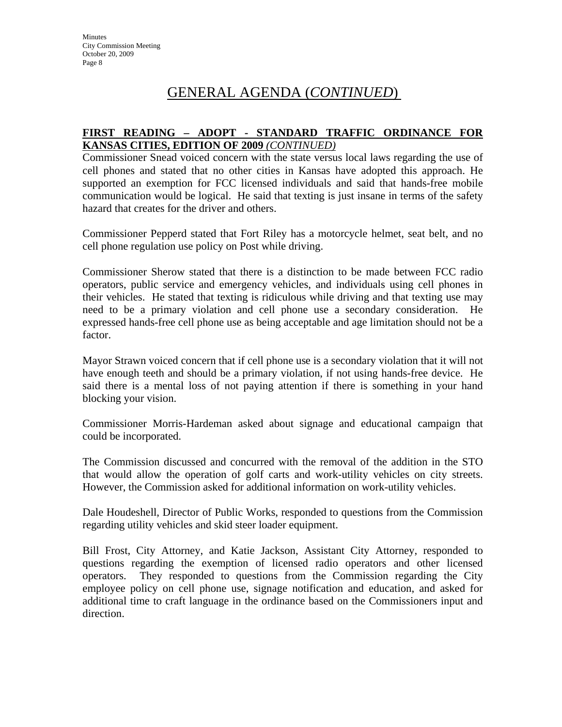### **FIRST READING – ADOPT - STANDARD TRAFFIC ORDINANCE FOR KANSAS CITIES, EDITION OF 2009** *(CONTINUED)*

Commissioner Snead voiced concern with the state versus local laws regarding the use of cell phones and stated that no other cities in Kansas have adopted this approach. He supported an exemption for FCC licensed individuals and said that hands-free mobile communication would be logical. He said that texting is just insane in terms of the safety hazard that creates for the driver and others.

Commissioner Pepperd stated that Fort Riley has a motorcycle helmet, seat belt, and no cell phone regulation use policy on Post while driving.

Commissioner Sherow stated that there is a distinction to be made between FCC radio operators, public service and emergency vehicles, and individuals using cell phones in their vehicles. He stated that texting is ridiculous while driving and that texting use may need to be a primary violation and cell phone use a secondary consideration. He expressed hands-free cell phone use as being acceptable and age limitation should not be a factor.

Mayor Strawn voiced concern that if cell phone use is a secondary violation that it will not have enough teeth and should be a primary violation, if not using hands-free device. He said there is a mental loss of not paying attention if there is something in your hand blocking your vision.

Commissioner Morris-Hardeman asked about signage and educational campaign that could be incorporated.

The Commission discussed and concurred with the removal of the addition in the STO that would allow the operation of golf carts and work-utility vehicles on city streets. However, the Commission asked for additional information on work-utility vehicles.

Dale Houdeshell, Director of Public Works, responded to questions from the Commission regarding utility vehicles and skid steer loader equipment.

Bill Frost, City Attorney, and Katie Jackson, Assistant City Attorney, responded to questions regarding the exemption of licensed radio operators and other licensed operators. They responded to questions from the Commission regarding the City employee policy on cell phone use, signage notification and education, and asked for additional time to craft language in the ordinance based on the Commissioners input and direction.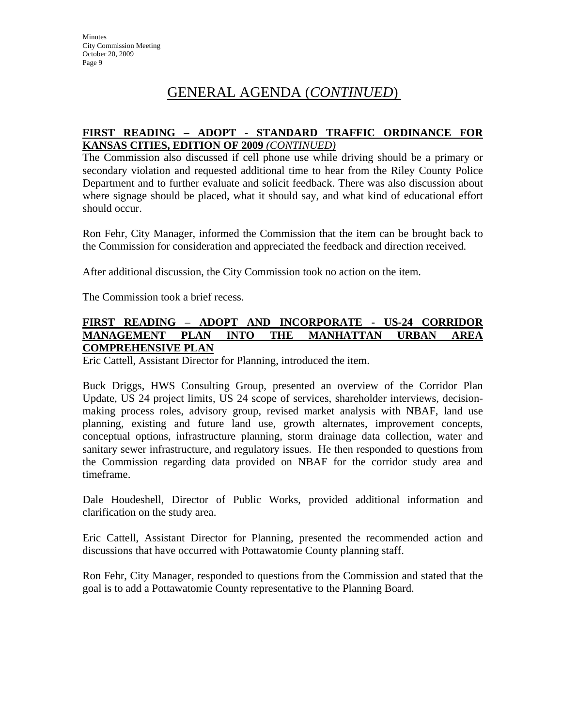### **FIRST READING – ADOPT - STANDARD TRAFFIC ORDINANCE FOR KANSAS CITIES, EDITION OF 2009** *(CONTINUED)*

The Commission also discussed if cell phone use while driving should be a primary or secondary violation and requested additional time to hear from the Riley County Police Department and to further evaluate and solicit feedback. There was also discussion about where signage should be placed, what it should say, and what kind of educational effort should occur.

Ron Fehr, City Manager, informed the Commission that the item can be brought back to the Commission for consideration and appreciated the feedback and direction received.

After additional discussion, the City Commission took no action on the item.

The Commission took a brief recess.

#### **FIRST READING – ADOPT AND INCORPORATE - US-24 CORRIDOR MANAGEMENT PLAN INTO THE MANHATTAN URBAN AREA COMPREHENSIVE PLAN**

Eric Cattell, Assistant Director for Planning, introduced the item.

Buck Driggs, HWS Consulting Group, presented an overview of the Corridor Plan Update, US 24 project limits, US 24 scope of services, shareholder interviews, decisionmaking process roles, advisory group, revised market analysis with NBAF, land use planning, existing and future land use, growth alternates, improvement concepts, conceptual options, infrastructure planning, storm drainage data collection, water and sanitary sewer infrastructure, and regulatory issues. He then responded to questions from the Commission regarding data provided on NBAF for the corridor study area and timeframe.

Dale Houdeshell, Director of Public Works, provided additional information and clarification on the study area.

Eric Cattell, Assistant Director for Planning, presented the recommended action and discussions that have occurred with Pottawatomie County planning staff.

Ron Fehr, City Manager, responded to questions from the Commission and stated that the goal is to add a Pottawatomie County representative to the Planning Board.